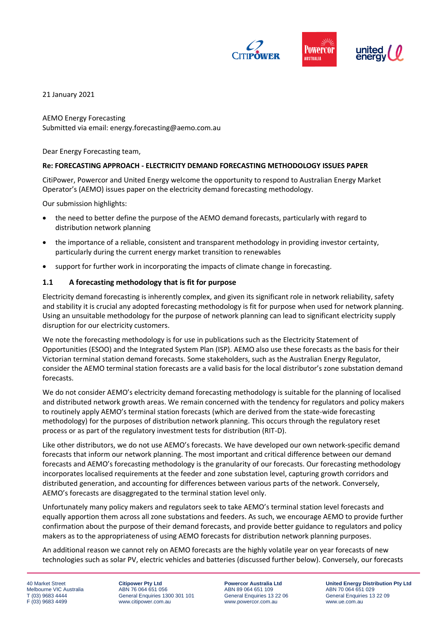

21 January 2021

AEMO Energy Forecasting Submitted via email: energy.forecasting@aemo.com.au

Dear Energy Forecasting team,

## **Re: FORECASTING APPROACH - ELECTRICITY DEMAND FORECASTING METHODOLOGY ISSUES PAPER**

CitiPower, Powercor and United Energy welcome the opportunity to respond to Australian Energy Market Operator's (AEMO) issues paper on the electricity demand forecasting methodology.

Our submission highlights:

- the need to better define the purpose of the AEMO demand forecasts, particularly with regard to distribution network planning
- the importance of a reliable, consistent and transparent methodology in providing investor certainty, particularly during the current energy market transition to renewables
- support for further work in incorporating the impacts of climate change in forecasting.

## **1.1 A forecasting methodology that is fit for purpose**

Electricity demand forecasting is inherently complex, and given its significant role in network reliability, safety and stability it is crucial any adopted forecasting methodology is fit for purpose when used for network planning. Using an unsuitable methodology for the purpose of network planning can lead to significant electricity supply disruption for our electricity customers.

We note the forecasting methodology is for use in publications such as the Electricity Statement of Opportunities (ESOO) and the Integrated System Plan (ISP). AEMO also use these forecasts as the basis for their Victorian terminal station demand forecasts. Some stakeholders, such as the Australian Energy Regulator, consider the AEMO terminal station forecasts are a valid basis for the local distributor's zone substation demand forecasts.

We do not consider AEMO's electricity demand forecasting methodology is suitable for the planning of localised and distributed network growth areas. We remain concerned with the tendency for regulators and policy makers to routinely apply AEMO's terminal station forecasts (which are derived from the state-wide forecasting methodology) for the purposes of distribution network planning. This occurs through the regulatory reset process or as part of the regulatory investment tests for distribution (RIT-D).

Like other distributors, we do not use AEMO's forecasts. We have developed our own network-specific demand forecasts that inform our network planning. The most important and critical difference between our demand forecasts and AEMO's forecasting methodology is the granularity of our forecasts. Our forecasting methodology incorporates localised requirements at the feeder and zone substation level, capturing growth corridors and distributed generation, and accounting for differences between various parts of the network. Conversely, AEMO's forecasts are disaggregated to the terminal station level only.

Unfortunately many policy makers and regulators seek to take AEMO's terminal station level forecasts and equally apportion them across all zone substations and feeders. As such, we encourage AEMO to provide further confirmation about the purpose of their demand forecasts, and provide better guidance to regulators and policy makers as to the appropriateness of using AEMO forecasts for distribution network planning purposes.

An additional reason we cannot rely on AEMO forecasts are the highly volatile year on year forecasts of new technologies such as solar PV, electric vehicles and batteries (discussed further below). Conversely, our forecasts

40 Market Street Melbourne VIC Australia T (03) 9683 4444 F (03) 9683 4499

**Citipower Pty Ltd** ABN 76 064 651 056 General Enquiries 1300 301 101 www.citipower.com.au

**Powercor Australia Ltd** ABN 89 064 651 109 General Enquiries 13 22 06 www.powercor.com.au

**United Energy Distribution Pty Ltd** ABN 70 064 651 029 General Enquiries 13 22 09 www.ue.com.au